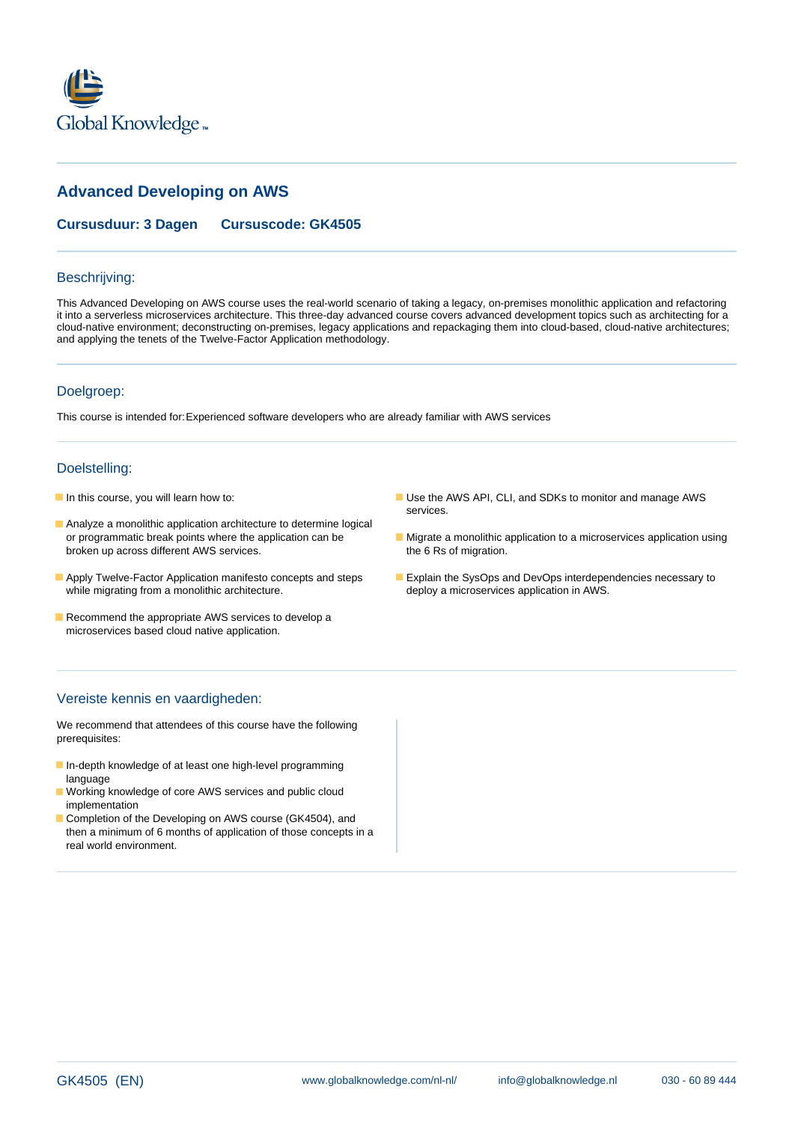

# **Advanced Developing on AWS**

**Cursusduur: 3 Dagen Cursuscode: GK4505**

#### Beschrijving:

This Advanced Developing on AWS course uses the real-world scenario of taking a legacy, on-premises monolithic application and refactoring it into a serverless microservices architecture. This three-day advanced course covers advanced development topics such as architecting for a cloud-native environment; deconstructing on-premises, legacy applications and repackaging them into cloud-based, cloud-native architectures; and applying the tenets of the Twelve-Factor Application methodology.

#### Doelgroep:

This course is intended for:Experienced software developers who are already familiar with AWS services

#### Doelstelling:

- 
- Analyze a monolithic application architecture to determine logical broken up across different AWS services. The 6 Rs of migration.
- while migrating from a monolithic architecture. The matching of deploy a microservices application in AWS.
- Recommend the appropriate AWS services to develop a microservices based cloud native application.
- 

# Vereiste kennis en vaardigheden:

We recommend that attendees of this course have the following prerequisites:

- In-depth knowledge of at least one high-level programming language
- **Norking knowledge of core AWS services and public cloud** implementation
- Completion of the Developing on AWS course (GK4504), and then a minimum of 6 months of application of those concepts in a real world environment.
- In this course, you will learn how to: This is a set of the AWS API, CLI, and SDKs to monitor and manage AWS services.
	- or programmatic break points where the application can be **Migrate a monolithic application to a microservices application using**
- Apply Twelve-Factor Application manifesto concepts and steps Explain the SysOps and DevOps interdependencies necessary to